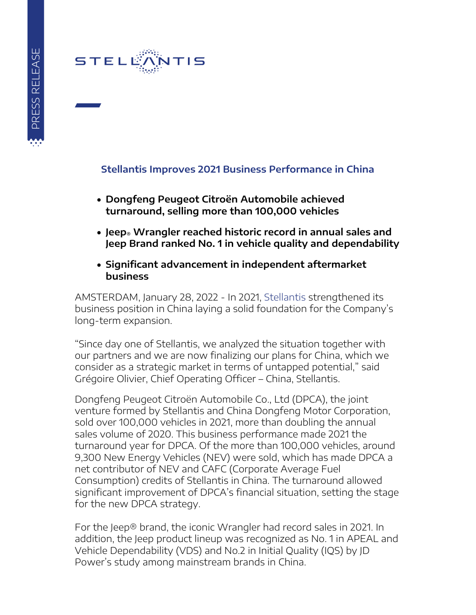## STELE

## **Stellantis Improves 2021 Business Performance in China**

- **Dongfeng Peugeot Citroën Automobile achieved turnaround, selling more than 100,000 vehicles**
- **Jeep® Wrangler reached historic record in annual sales and Jeep Brand ranked No. 1 in vehicle quality and dependability**
- **Significant advancement in independent aftermarket business**

AMSTERDAM, January 28, 2022 - In 2021, [Stellantis](https://www.stellantis.com/en) strengthened its business position in China laying a solid foundation for the Company's long-term expansion.

"Since day one of Stellantis, we analyzed the situation together with our partners and we are now finalizing our plans for China, which we consider as a strategic market in terms of untapped potential," said Grégoire Olivier, Chief Operating Officer – China, Stellantis.

Dongfeng Peugeot Citroën Automobile Co., Ltd (DPCA), the joint venture formed by Stellantis and China Dongfeng Motor Corporation, sold over 100,000 vehicles in 2021, more than doubling the annual sales volume of 2020. This business performance made 2021 the turnaround year for DPCA. Of the more than 100,000 vehicles, around 9,300 New Energy Vehicles (NEV) were sold, which has made DPCA a net contributor of NEV and CAFC (Corporate Average Fuel Consumption) credits of Stellantis in China. The turnaround allowed significant improvement of DPCA's financial situation, setting the stage for the new DPCA strategy.

For the Jeep® brand, the iconic Wrangler had record sales in 2021. In addition, the Jeep product lineup was recognized as No. 1 in APEAL and Vehicle Dependability (VDS) and No.2 in Initial Quality (IQS) by JD Power's study among mainstream brands in China.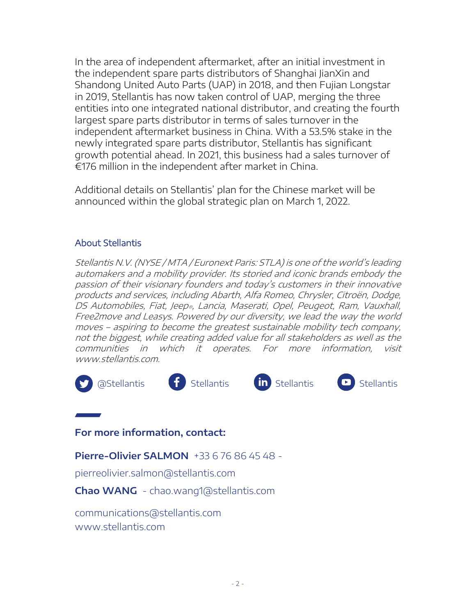In the area of independent aftermarket, after an initial investment in the independent spare parts distributors of Shanghai JianXin and Shandong United Auto Parts (UAP) in 2018, and then Fujian Longstar in 2019, Stellantis has now taken control of UAP, merging the three entities into one integrated national distributor, and creating the fourth largest spare parts distributor in terms of sales turnover in the independent aftermarket business in China. With a 53.5% stake in the newly integrated spare parts distributor, Stellantis has significant growth potential ahead. In 2021, this business had a sales turnover of €176 million in the independent after market in China.

Additional details on Stellantis' plan for the Chinese market will be announced within the global strategic plan on March 1, 2022.

## About Stellantis

Stellantis N.V. (NYSE / MTA / Euronext Paris: STLA) is one of the world's leading automakers and a mobility provider. Its storied and iconic brands embody the passion of their visionary founders and today's customers in their innovative products and services, including Abarth, Alfa Romeo, Chrysler, Citroën, Dodge, DS Automobiles, Fiat, Jeep®, Lancia, Maserati, Opel, Peugeot, Ram, Vauxhall, Free2move and Leasys. Powered by our diversity, we lead the way the world moves – aspiring to become the greatest sustainable mobility tech company, not the biggest, while creating added value for all stakeholders as well as the communities in which it operates. For more information, visit www.stellantis.com.



**For more information, contact:**

**Pierre-Olivier SALMON** +33 6 76 86 45 48 -

pierreolivier.salmon@stellantis.com

**Chao WANG** - chao.wang1@stellantis.com

[communications@stellantis.com](mailto:communications@stellantis.com) www.stellantis.com